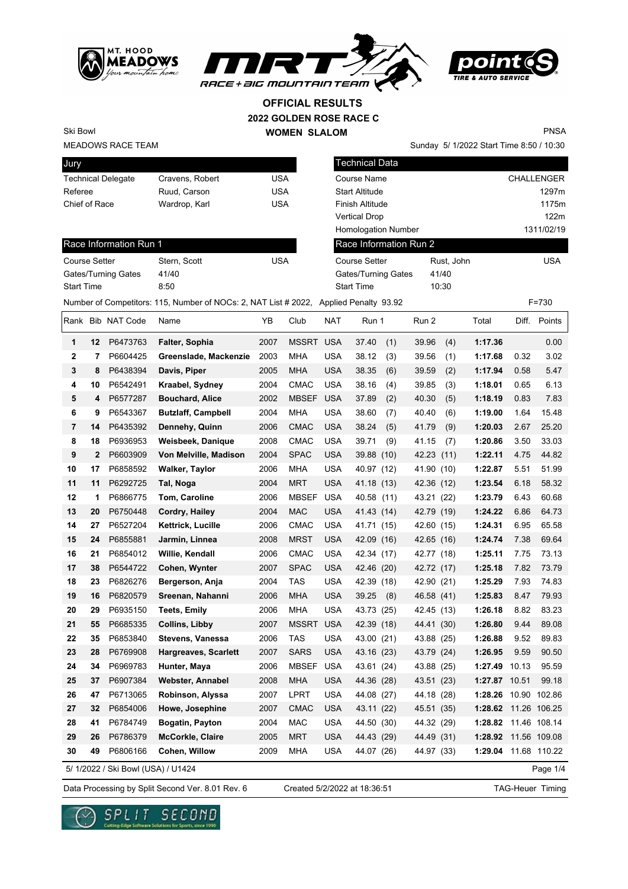





PNSA

Sunday 5/ 1/2022 Start Time 8:50 / 10:30

**2022 GOLDEN ROSE RACE C OFFICIAL RESULTS**

**WOMEN SLALOM** 

MEADOWS RACE TEAM

Ski Bowl

| Jury                      |                 |     |
|---------------------------|-----------------|-----|
| <b>Technical Delegate</b> | Cravens, Robert | USA |
| Referee                   | Ruud, Carson    | USA |
| Chief of Race             | Wardrop, Karl   | USA |
|                           |                 |     |

| <b>Technical Data</b>                                     |            |                   |
|-----------------------------------------------------------|------------|-------------------|
| Course Name                                               |            | <b>CHALLENGER</b> |
| <b>Start Altitude</b>                                     |            | 1297m             |
| <b>Finish Altitude</b>                                    |            | 1175m             |
| <b>Vertical Drop</b>                                      |            | 122m              |
| <b>Homologation Number</b>                                |            | 1311/02/19        |
| Race Information Run 2                                    |            |                   |
| <b>Course Setter</b>                                      | Rust, John | USA               |
| Gates/Turning Gates                                       | 41/40      |                   |
| $\mathbf{C}$ . $\mathbf{C}$ . $\mathbf{C}$ . $\mathbf{C}$ | 1000       |                   |

Race Information Run 1 Course Setter Stern, Scott Course Setter Stern, Scott Gates/Turning Gates 41/40

| <b>Start Time</b> |                  |                                    | 8:50                                                                                  |      |                  |            | <b>Start Time</b> | 10:30         |                      |       |              |
|-------------------|------------------|------------------------------------|---------------------------------------------------------------------------------------|------|------------------|------------|-------------------|---------------|----------------------|-------|--------------|
|                   |                  |                                    | Number of Competitors: 115, Number of NOCs: 2, NAT List # 2022. Applied Penalty 93.92 |      |                  |            |                   |               |                      |       | F=730        |
|                   |                  | Rank Bib NAT Code                  | Name                                                                                  | ΥB   | Club             | <b>NAT</b> | Run 1             | Run 2         | Total                |       | Diff. Points |
| 1                 | 12 <sup>12</sup> | P6473763                           | Falter, Sophia                                                                        | 2007 | MSSRT USA        |            | 37.40<br>(1)      | 39.96<br>(4)  | 1:17.36              |       | 0.00         |
| 2                 | 7                | P6604425                           | Greenslade, Mackenzie                                                                 | 2003 | MHA              | <b>USA</b> | 38.12<br>(3)      | 39.56<br>(1)  | 1:17.68              | 0.32  | 3.02         |
| 3                 | 8                | P6438394                           | Davis, Piper                                                                          | 2005 | MHA              | <b>USA</b> | 38.35<br>(6)      | 39.59<br>(2)  | 1:17.94              | 0.58  | 5.47         |
| 4                 | 10               | P6542491                           | Kraabel, Sydney                                                                       | 2004 | <b>CMAC</b>      | <b>USA</b> | 38.16<br>(4)      | 39.85<br>(3)  | 1:18.01              | 0.65  | 6.13         |
| 5                 | 4                | P6577287                           | <b>Bouchard, Alice</b>                                                                | 2002 | <b>MBSEF</b>     | <b>USA</b> | 37.89<br>(2)      | 40.30<br>(5)  | 1:18.19              | 0.83  | 7.83         |
| 6                 | 9                | P6543367                           | <b>Butzlaff, Campbell</b>                                                             | 2004 | MHA              | USA        | 38.60<br>(7)      | 40.40<br>(6)  | 1:19.00              | 1.64  | 15.48        |
| $\overline{7}$    | 14               | P6435392                           | Dennehy, Quinn                                                                        | 2006 | <b>CMAC</b>      | <b>USA</b> | 38.24<br>(5)      | 41.79<br>(9)  | 1:20.03              | 2.67  | 25.20        |
| 8                 | 18               | P6936953                           | Weisbeek, Danique                                                                     | 2008 | <b>CMAC</b>      | <b>USA</b> | 39.71<br>(9)      | 41.15<br>(7)  | 1:20.86              | 3.50  | 33.03        |
| 9                 | 2                | P6603909                           | Von Melville, Madison                                                                 | 2004 | <b>SPAC</b>      | <b>USA</b> | 39.88 (10)        | 42.23<br>(11) | 1:22.11              | 4.75  | 44.82        |
| 10                | 17               | P6858592                           | Walker, Taylor                                                                        | 2006 | MHA              | <b>USA</b> | 40.97 (12)        | 41.90 (10)    | 1:22.87              | 5.51  | 51.99        |
| 11                | 11               | P6292725                           | Tal, Noga                                                                             | 2004 | <b>MRT</b>       | <b>USA</b> | 41.18 (13)        | 42.36<br>(12) | 1:23.54              | 6.18  | 58.32        |
| 12                | 1                | P6866775                           | Tom, Caroline                                                                         | 2006 | <b>MBSEF</b>     | <b>USA</b> | 40.58 (11)        | 43.21<br>(22) | 1:23.79              | 6.43  | 60.68        |
| 13                | 20               | P6750448                           | <b>Cordry, Hailey</b>                                                                 | 2004 | <b>MAC</b>       | <b>USA</b> | 41.43 (14)        | 42.79<br>(19) | 1:24.22              | 6.86  | 64.73        |
| 14                | 27               | P6527204                           | Kettrick, Lucille                                                                     | 2006 | <b>CMAC</b>      | <b>USA</b> | 41.71 (15)        | 42.60 (15)    | 1:24.31              | 6.95  | 65.58        |
| 15                | 24               | P6855881                           | Jarmin, Linnea                                                                        | 2008 | <b>MRST</b>      | <b>USA</b> | 42.09 (16)        | 42.65 (16)    | 1:24.74              | 7.38  | 69.64        |
| 16                | 21               | P6854012                           | Willie, Kendall                                                                       | 2006 | <b>CMAC</b>      | <b>USA</b> | 42.34 (17)        | 42.77 (18)    | 1:25.11              | 7.75  | 73.13        |
| 17                | 38               | P6544722                           | Cohen, Wynter                                                                         | 2007 | <b>SPAC</b>      | <b>USA</b> | 42.46 (20)        | 42.72 (17)    | 1:25.18              | 7.82  | 73.79        |
| 18                | 23               | P6826276                           | Bergerson, Anja                                                                       | 2004 | TAS              | USA        | 42.39 (18)        | 42.90 (21)    | 1:25.29              | 7.93  | 74.83        |
| 19                | 16               | P6820579                           | Sreenan, Nahanni                                                                      | 2006 | MHA              | <b>USA</b> | 39.25<br>(8)      | 46.58 (41)    | 1:25.83              | 8.47  | 79.93        |
| 20                | 29               | P6935150                           | <b>Teets, Emily</b>                                                                   | 2006 | MHA              | <b>USA</b> | 43.73 (25)        | 42.45 (13)    | 1:26.18              | 8.82  | 83.23        |
| 21                | 55               | P6685335                           | Collins, Libby                                                                        | 2007 | <b>MSSRT USA</b> |            | 42.39 (18)        | 44.41 (30)    | 1:26.80              | 9.44  | 89.08        |
| 22                | 35               | P6853840                           | Stevens, Vanessa                                                                      | 2006 | TAS              | USA        | 43.00 (21)        | 43.88 (25)    | 1:26.88              | 9.52  | 89.83        |
| 23                | 28               | P6769908                           | Hargreaves, Scarlett                                                                  | 2007 | <b>SARS</b>      | <b>USA</b> | 43.16 (23)        | 43.79 (24)    | 1:26.95              | 9.59  | 90.50        |
| 24                | 34               | P6969783                           | Hunter, Maya                                                                          | 2006 | <b>MBSEF</b>     | <b>USA</b> | 43.61 (24)        | 43.88 (25)    | 1:27.49              | 10.13 | 95.59        |
| 25                | 37               | P6907384                           | Webster, Annabel                                                                      | 2008 | <b>MHA</b>       | <b>USA</b> | 44.36 (28)        | 43.51 (23)    | 1:27.87              | 10.51 | 99.18        |
| 26                | 47               | P6713065                           | Robinson, Alyssa                                                                      | 2007 | LPRT             | USA        | 44.08 (27)        | 44.18 (28)    | 1:28.26              |       | 10.90 102.86 |
| 27                | 32               | P6854006                           | Howe, Josephine                                                                       | 2007 | <b>CMAC</b>      | <b>USA</b> | 43.11 (22)        | 45.51<br>(35) | 1:28.62              |       | 11.26 106.25 |
| 28                | 41               | P6784749                           | Bogatin, Payton                                                                       | 2004 | <b>MAC</b>       | <b>USA</b> | 44.50 (30)        | 44.32 (29)    | 1:28.82              |       | 11.46 108.14 |
| 29                | 26               | P6786379                           | <b>McCorkle, Claire</b>                                                               | 2005 | <b>MRT</b>       | <b>USA</b> | 44.43 (29)        | 44.49 (31)    | 1:28.92              |       | 11.56 109.08 |
| 30                | 49               | P6806166                           | Cohen, Willow                                                                         | 2009 | MHA              | <b>USA</b> | 44.07 (26)        | 44.97 (33)    | 1:29.04 11.68 110.22 |       |              |
|                   |                  | 5/ 1/2022 / Ski Bowl (USA) / U1424 |                                                                                       |      |                  |            |                   |               |                      |       | Page 1/4     |

Data Processing by Split Second Ver. 8.01 Rev. 6 Created 5/2/2022 at 18:36:51 TAG-Heuer Timing

Created 5/2/2022 at 18:36:51

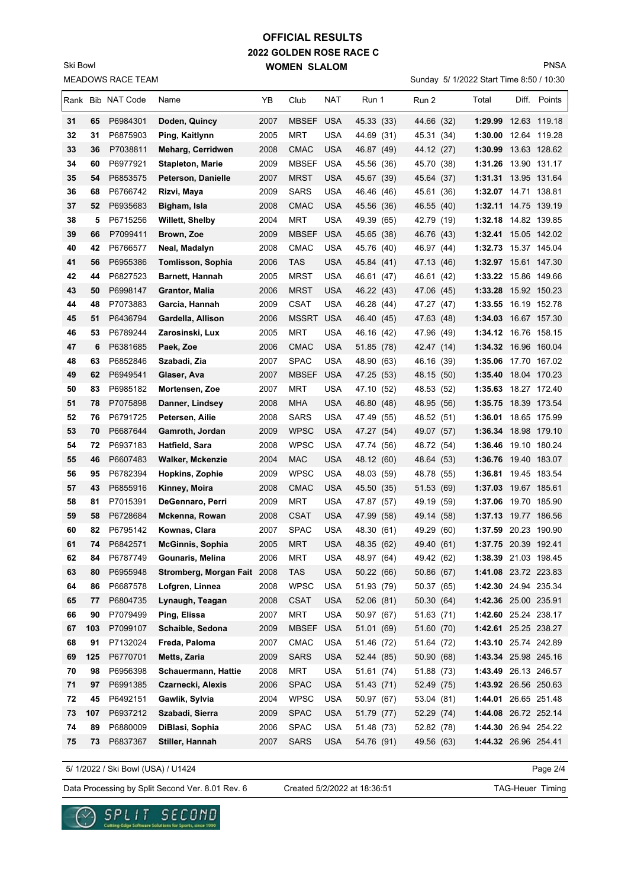## **2022 GOLDEN ROSE RACE C WOMEN SLALOM OFFICIAL RESULTS**

MEADOWS RACE TEAM Ski Bowl

# PNSA

|    |     | Rank Bib NAT Code | Name                        | YΒ   | Club         | NAT        | Run 1      | Run 2      | Total                | Diff. | Points       |
|----|-----|-------------------|-----------------------------|------|--------------|------------|------------|------------|----------------------|-------|--------------|
| 31 | 65  | P6984301          | Doden, Quincy               | 2007 | MBSEF USA    |            | 45.33 (33) | 44.66 (32) | 1:29.99 12.63 119.18 |       |              |
| 32 | 31  | P6875903          | Ping, Kaitlynn              | 2005 | MRT          | USA        | 44.69 (31) | 45.31 (34) | 1:30.00 12.64 119.28 |       |              |
| 33 | 36  | P7038811          | <b>Meharg, Cerridwen</b>    | 2008 | <b>CMAC</b>  | USA        | 46.87 (49) | 44.12 (27) | 1:30.99 13.63 128.62 |       |              |
| 34 | 60  | P6977921          | <b>Stapleton, Marie</b>     | 2009 | MBSEF        | USA        | 45.56 (36) | 45.70 (38) | 1:31.26 13.90 131.17 |       |              |
| 35 | 54  | P6853575          | Peterson, Danielle          | 2007 | <b>MRST</b>  | USA        | 45.67 (39) | 45.64 (37) | 1:31.31 13.95 131.64 |       |              |
| 36 | 68  | P6766742          | Rizvi, Maya                 | 2009 | SARS         | USA        | 46.46 (46) | 45.61 (36) | 1:32.07 14.71 138.81 |       |              |
| 37 | 52  | P6935683          | Bigham, Isla                | 2008 | <b>CMAC</b>  | <b>USA</b> | 45.56 (36) | 46.55 (40) | 1:32.11 14.75 139.19 |       |              |
| 38 | 5   | P6715256          | Willett, Shelby             | 2004 | MRT          | USA        | 49.39 (65) | 42.79 (19) | 1:32.18 14.82 139.85 |       |              |
| 39 | 66  | P7099411          | Brown, Zoe                  | 2009 | <b>MBSEF</b> | <b>USA</b> | 45.65 (38) | 46.76 (43) | 1:32.41 15.05 142.02 |       |              |
| 40 | 42  | P6766577          | Neal, Madalyn               | 2008 | <b>CMAC</b>  | <b>USA</b> | 45.76 (40) | 46.97 (44) | 1:32.73 15.37 145.04 |       |              |
| 41 | 56  | P6955386          | Tomlisson, Sophia           | 2006 | TAS          | USA        | 45.84 (41) | 47.13 (46) | 1:32.97 15.61 147.30 |       |              |
| 42 | 44  | P6827523          | <b>Barnett, Hannah</b>      | 2005 | <b>MRST</b>  | USA        | 46.61 (47) | 46.61 (42) | 1:33.22 15.86 149.66 |       |              |
| 43 | 50  | P6998147          | <b>Grantor, Malia</b>       | 2006 | <b>MRST</b>  | USA        | 46.22 (43) | 47.06 (45) | 1:33.28 15.92 150.23 |       |              |
| 44 | 48  | P7073883          | Garcia, Hannah              | 2009 | <b>CSAT</b>  | USA        | 46.28 (44) | 47.27 (47) | 1:33.55 16.19 152.78 |       |              |
| 45 | 51  | P6436794          | Gardella, Allison           | 2006 | <b>MSSRT</b> | USA        | 46.40 (45) | 47.63 (48) | 1:34.03              |       | 16.67 157.30 |
| 46 | 53  | P6789244          | Zarosinski, Lux             | 2005 | MRT          | <b>USA</b> | 46.16 (42) | 47.96 (49) | 1:34.12 16.76 158.15 |       |              |
| 47 | 6   | P6381685          | Paek, Zoe                   | 2006 | <b>CMAC</b>  | USA        | 51.85 (78) | 42.47 (14) | 1:34.32 16.96 160.04 |       |              |
| 48 | 63  | P6852846          | Szabadi, Zia                | 2007 | <b>SPAC</b>  | USA        | 48.90 (63) | 46.16 (39) | 1:35.06              |       | 17.70 167.02 |
| 49 | 62  | P6949541          | Glaser, Ava                 | 2007 | <b>MBSEF</b> | USA        | 47.25 (53) | 48.15 (50) | 1:35.40 18.04 170.23 |       |              |
| 50 | 83  | P6985182          | Mortensen, Zoe              | 2007 | MRT          | <b>USA</b> | 47.10 (52) | 48.53 (52) | 1:35.63 18.27 172.40 |       |              |
| 51 | 78  | P7075898          | Danner, Lindsey             | 2008 | MHA          | <b>USA</b> | 46.80 (48) | 48.95 (56) | 1:35.75 18.39 173.54 |       |              |
| 52 | 76  | P6791725          | Petersen, Ailie             | 2008 | SARS         | <b>USA</b> | 47.49 (55) | 48.52 (51) | 1:36.01              |       | 18.65 175.99 |
| 53 | 70  | P6687644          | Gamroth, Jordan             | 2009 | WPSC         | USA        | 47.27 (54) | 49.07 (57) | 1:36.34 18.98 179.10 |       |              |
| 54 | 72  | P6937183          | Hatfield, Sara              | 2008 | WPSC         | USA        | 47.74 (56) | 48.72 (54) | 1:36.46              |       | 19.10 180.24 |
| 55 | 46  | P6607483          | <b>Walker, Mckenzie</b>     | 2004 | MAC          | USA        | 48.12 (60) | 48.64 (53) | 1:36.76 19.40 183.07 |       |              |
| 56 | 95  | P6782394          | Hopkins, Zophie             | 2009 | WPSC         | USA        | 48.03 (59) | 48.78 (55) | 1:36.81 19.45 183.54 |       |              |
| 57 | 43  | P6855916          | Kinney, Moira               | 2008 | <b>CMAC</b>  | USA        | 45.50 (35) | 51.53 (69) | 1:37.03              |       | 19.67 185.61 |
| 58 | 81  | P7015391          | DeGennaro, Perri            | 2009 | <b>MRT</b>   | USA        | 47.87 (57) | 49.19 (59) | 1:37.06 19.70 185.90 |       |              |
| 59 | 58  | P6728684          | Mckenna, Rowan              | 2008 | <b>CSAT</b>  | <b>USA</b> | 47.99 (58) | 49.14 (58) | 1:37.13 19.77 186.56 |       |              |
| 60 | 82  | P6795142          | Kownas, Clara               | 2007 | <b>SPAC</b>  | <b>USA</b> | 48.30 (61) | 49.29 (60) | 1:37.59 20.23 190.90 |       |              |
| 61 | 74  | P6842571          | <b>McGinnis, Sophia</b>     | 2005 | <b>MRT</b>   | <b>USA</b> | 48.35 (62) | 49.40 (61) | 1:37.75 20.39 192.41 |       |              |
| 62 | 84  | P6787749          | Gounaris, Melina            | 2006 | MRT          | <b>USA</b> | 48.97 (64) | 49.42 (62) | 1:38.39 21.03 198.45 |       |              |
| 63 | 80  | P6955948          | Stromberg, Morgan Fait 2008 |      | TAS          | <b>USA</b> | 50.22 (66) | 50.86 (67) | 1:41.08 23.72 223.83 |       |              |
| 64 | 86  | P6687578          | Lofgren, Linnea             | 2008 | <b>WPSC</b>  | <b>USA</b> | 51.93 (79) | 50.37 (65) | 1:42.30 24.94 235.34 |       |              |
| 65 | 77  | P6804735          | Lynaugh, Teagan             | 2008 | <b>CSAT</b>  | <b>USA</b> | 52.06 (81) | 50.30 (64) | 1:42.36 25.00 235.91 |       |              |
| 66 | 90  | P7079499          | Ping, Elissa                | 2007 | MRT          | <b>USA</b> | 50.97 (67) | 51.63 (71) | 1:42.60 25.24 238.17 |       |              |
| 67 | 103 | P7099107          | Schaible, Sedona            | 2009 | <b>MBSEF</b> | <b>USA</b> | 51.01 (69) | 51.60 (70) | 1:42.61 25.25 238.27 |       |              |
| 68 | 91  | P7132024          | Freda, Paloma               | 2007 | <b>CMAC</b>  | <b>USA</b> | 51.46 (72) | 51.64 (72) | 1:43.10 25.74 242.89 |       |              |
| 69 | 125 | P6770701          | Metts, Zaria                | 2009 | <b>SARS</b>  | <b>USA</b> | 52.44 (85) | 50.90 (68) | 1:43.34 25.98 245.16 |       |              |
| 70 | 98  | P6956398          | Schauermann, Hattie         | 2008 | MRT          | <b>USA</b> | 51.61 (74) | 51.88 (73) | 1:43.49 26.13 246.57 |       |              |
| 71 | 97  | P6991385          | Czarnecki, Alexis           | 2006 | <b>SPAC</b>  | <b>USA</b> | 51.43 (71) | 52.49 (75) | 1:43.92 26.56 250.63 |       |              |
| 72 | 45  | P6492151          | Gawlik, Sylvia              | 2004 | <b>WPSC</b>  | <b>USA</b> | 50.97 (67) | 53.04 (81) | 1:44.01 26.65 251.48 |       |              |
| 73 | 107 | P6937212          | Szabadi, Sierra             | 2009 | <b>SPAC</b>  | <b>USA</b> | 51.79 (77) | 52.29 (74) | 1:44.08 26.72 252.14 |       |              |
| 74 | 89  | P6880009          | DiBlasi, Sophia             | 2006 | <b>SPAC</b>  | <b>USA</b> | 51.48 (73) | 52.82 (78) | 1:44.30 26.94 254.22 |       |              |
| 75 | 73  | P6837367          | Stiller, Hannah             | 2007 | <b>SARS</b>  | <b>USA</b> | 54.76 (91) | 49.56 (63) | 1:44.32 26.96 254.41 |       |              |

5/ 1/2022 / Ski Bowl (USA) / U1424

Page 2/4

Data Processing by Split Second Ver. 8.01 Rev. 6 Created 5/2/2022 at 18:36:51 TAG-Heuer Timing

Created 5/2/2022 at 18:36:51

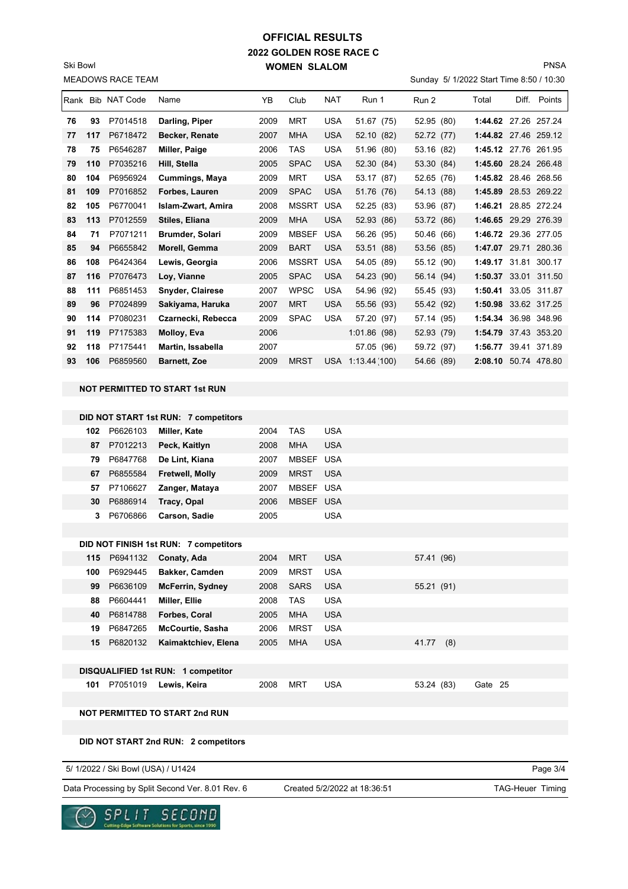## **2022 GOLDEN ROSE RACE C WOMEN SLALOM OFFICIAL RESULTS**

Sunday 5/ 1/2022 Start Time 8:50 / 10:30

PNSA

|    |     | Rank Bib NAT Code | Name                  | YB   | Club         | <b>NAT</b> | Run 1        | Run 2      | Total                | Diff. | Points       |
|----|-----|-------------------|-----------------------|------|--------------|------------|--------------|------------|----------------------|-------|--------------|
| 76 | 93  | P7014518          | Darling, Piper        | 2009 | <b>MRT</b>   | <b>USA</b> | 51.67 (75)   | 52.95 (80) | 1:44.62 27.26 257.24 |       |              |
| 77 | 117 | P6718472          | <b>Becker, Renate</b> | 2007 | <b>MHA</b>   | <b>USA</b> | 52.10 (82)   | 52.72 (77) | 1:44.82              |       | 27.46 259.12 |
| 78 | 75  | P6546287          | Miller, Paige         | 2006 | TAS          | <b>USA</b> | 51.96 (80)   | 53.16 (82) | 1:45.12              | 27.76 | 261.95       |
| 79 | 110 | P7035216          | Hill, Stella          | 2005 | <b>SPAC</b>  | <b>USA</b> | 52.30 (84)   | 53.30 (84) | 1:45.60              |       | 28.24 266.48 |
| 80 | 104 | P6956924          | <b>Cummings, Maya</b> | 2009 | <b>MRT</b>   | <b>USA</b> | 53.17 (87)   | 52.65 (76) | 1:45.82 28.46 268.56 |       |              |
| 81 | 109 | P7016852          | Forbes, Lauren        | 2009 | <b>SPAC</b>  | <b>USA</b> | 51.76 (76)   | 54.13 (88) | 1:45.89              |       | 28.53 269.22 |
| 82 | 105 | P6770041          | Islam-Zwart, Amira    | 2008 | <b>MSSRT</b> | <b>USA</b> | 52.25 (83)   | 53.96 (87) | 1:46.21              |       | 28.85 272.24 |
| 83 | 113 | P7012559          | Stiles, Eliana        | 2009 | <b>MHA</b>   | <b>USA</b> | 52.93 (86)   | 53.72 (86) | 1:46.65 29.29 276.39 |       |              |
| 84 | 71  | P7071211          | Brumder, Solari       | 2009 | <b>MBSEF</b> | <b>USA</b> | 56.26 (95)   | 50.46 (66) | 1:46.72              | 29.36 | 277.05       |
| 85 | 94  | P6655842          | Morell, Gemma         | 2009 | <b>BART</b>  | <b>USA</b> | 53.51 (88)   | 53.56 (85) | 1:47.07              | 29.71 | 280.36       |
| 86 | 108 | P6424364          | Lewis, Georgia        | 2006 | <b>MSSRT</b> | <b>USA</b> | 54.05 (89)   | 55.12 (90) | 1:49.17              | 31.81 | 300.17       |
| 87 | 116 | P7076473          | Loy, Vianne           | 2005 | <b>SPAC</b>  | <b>USA</b> | 54.23 (90)   | 56.14 (94) | 1:50.37 33.01 311.50 |       |              |
| 88 | 111 | P6851453          | Snyder, Clairese      | 2007 | <b>WPSC</b>  | <b>USA</b> | 54.96 (92)   | 55.45 (93) | 1:50.41              | 33.05 | 311.87       |
| 89 | 96  | P7024899          | Sakiyama, Haruka      | 2007 | <b>MRT</b>   | <b>USA</b> | 55.56 (93)   | 55.42 (92) | 1:50.98 33.62 317.25 |       |              |
| 90 | 114 | P7080231          | Czarnecki, Rebecca    | 2009 | <b>SPAC</b>  | <b>USA</b> | 57.20 (97)   | 57.14 (95) | 1:54.34              |       | 36.98 348.96 |
| 91 | 119 | P7175383          | Molloy, Eva           | 2006 |              |            | 1:01.86 (98) | 52.93 (79) | 1:54.79              |       | 37.43 353.20 |
| 92 | 118 | P7175441          | Martin, Issabella     | 2007 |              |            | 57.05 (96)   | 59.72 (97) | 1:56.77              | 39.41 | 371.89       |
| 93 | 106 | P6859560          | <b>Barnett, Zoe</b>   | 2009 | <b>MRST</b>  | <b>USA</b> | 1:13.44(100) | 54.66 (89) | 2:08.10              |       | 50.74 478.80 |
|    |     |                   |                       |      |              |            |              |            |                      |       |              |

#### **NOT PERMITTED TO START 1st RUN**

MEADOWS RACE TEAM

Ski Bowl

|     |              | DID NOT START 1st RUN: 7 competitors  |      |              |            |            |     |         |  |
|-----|--------------|---------------------------------------|------|--------------|------------|------------|-----|---------|--|
| 102 | P6626103     | Miller, Kate                          | 2004 | <b>TAS</b>   | <b>USA</b> |            |     |         |  |
| 87  | P7012213     | Peck, Kaitlyn                         | 2008 | <b>MHA</b>   | <b>USA</b> |            |     |         |  |
| 79  | P6847768     | De Lint, Kiana                        | 2007 | <b>MBSEF</b> | <b>USA</b> |            |     |         |  |
| 67  | P6855584     | Fretwell, Molly                       | 2009 | <b>MRST</b>  | <b>USA</b> |            |     |         |  |
| 57  | P7106627     | Zanger, Mataya                        | 2007 | MBSEF        | <b>USA</b> |            |     |         |  |
| 30  | P6886914     | Tracy, Opal                           | 2006 | MBSEF USA    |            |            |     |         |  |
| 3   | P6706866     | Carson, Sadie                         | 2005 |              | <b>USA</b> |            |     |         |  |
|     |              |                                       |      |              |            |            |     |         |  |
|     |              | DID NOT FINISH 1st RUN: 7 competitors |      |              |            |            |     |         |  |
|     | 115 P6941132 | Conaty, Ada                           | 2004 | <b>MRT</b>   | <b>USA</b> | 57.41 (96) |     |         |  |
| 100 | P6929445     | Bakker, Camden                        | 2009 | <b>MRST</b>  | <b>USA</b> |            |     |         |  |
| 99  | P6636109     | <b>McFerrin, Sydney</b>               | 2008 | <b>SARS</b>  | <b>USA</b> | 55.21 (91) |     |         |  |
| 88  | P6604441     | <b>Miller, Ellie</b>                  | 2008 | <b>TAS</b>   | <b>USA</b> |            |     |         |  |
| 40  | P6814788     | Forbes, Coral                         | 2005 | <b>MHA</b>   | <b>USA</b> |            |     |         |  |
| 19  | P6847265     | <b>McCourtie, Sasha</b>               | 2006 | <b>MRST</b>  | <b>USA</b> |            |     |         |  |
| 15  | P6820132     | Kaimaktchiev, Elena                   | 2005 | <b>MHA</b>   | <b>USA</b> | 41.77      | (8) |         |  |
|     |              |                                       |      |              |            |            |     |         |  |
|     |              | DISQUALIFIED 1st RUN: 1 competitor    |      |              |            |            |     |         |  |
| 101 | P7051019     | Lewis, Keira                          | 2008 | <b>MRT</b>   | <b>USA</b> | 53.24 (83) |     | Gate 25 |  |
|     |              |                                       |      |              |            |            |     |         |  |

### **NOT PERMITTED TO START 2nd RUN**

#### **DID NOT START 2nd RUN: 2 competitors**

5/ 1/2022 / Ski Bowl (USA) / U1424

Data Processing by Split Second Ver. 8.01 Rev. 6 Created 5/2/2022 at 18:36:51 TAG-Heuer Timing

Created 5/2/2022 at 18:36:51

Page 3/4